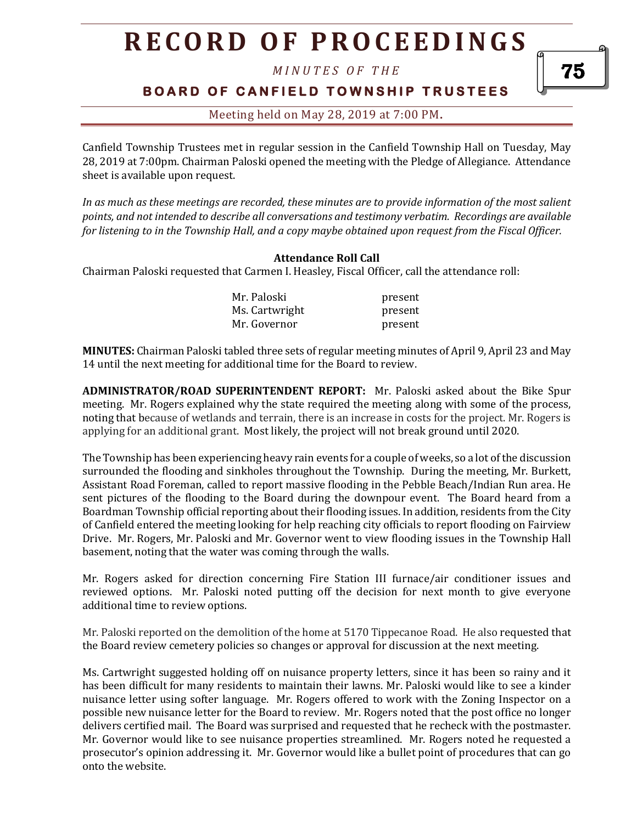*M I N U T E S O F T H E* 

**BOARD OF CANFIELD TOWNSHIP TRUSTEES** 

Meeting held on May 28, 2019 at 7:00 PM**.**

Canfield Township Trustees met in regular session in the Canfield Township Hall on Tuesday, May 28, 2019 at 7:00pm. Chairman Paloski opened the meeting with the Pledge of Allegiance. Attendance sheet is available upon request.

*In as much as these meetings are recorded, these minutes are to provide information of the most salient points, and not intended to describe all conversations and testimony verbatim. Recordings are available for listening to in the Township Hall, and a copy maybe obtained upon request from the Fiscal Officer.* 

### **Attendance Roll Call**

Chairman Paloski requested that Carmen I. Heasley, Fiscal Officer, call the attendance roll:

| Mr. Paloski    | present |
|----------------|---------|
| Ms. Cartwright | present |
| Mr. Governor   | present |

**MINUTES:** Chairman Paloski tabled three sets of regular meeting minutes of April 9, April 23 and May 14 until the next meeting for additional time for the Board to review.

**ADMINISTRATOR/ROAD SUPERINTENDENT REPORT:** Mr. Paloski asked about the Bike Spur meeting. Mr. Rogers explained why the state required the meeting along with some of the process, noting that because of wetlands and terrain, there is an increase in costs for the project. Mr. Rogers is applying for an additional grant. Most likely, the project will not break ground until 2020.

The Township has been experiencing heavy rain events for a couple of weeks, so a lot of the discussion surrounded the flooding and sinkholes throughout the Township. During the meeting, Mr. Burkett, Assistant Road Foreman, called to report massive flooding in the Pebble Beach/Indian Run area. He sent pictures of the flooding to the Board during the downpour event. The Board heard from a Boardman Township official reporting about their flooding issues. In addition, residents from the City of Canfield entered the meeting looking for help reaching city officials to report flooding on Fairview Drive. Mr. Rogers, Mr. Paloski and Mr. Governor went to view flooding issues in the Township Hall basement, noting that the water was coming through the walls.

Mr. Rogers asked for direction concerning Fire Station III furnace/air conditioner issues and reviewed options. Mr. Paloski noted putting off the decision for next month to give everyone additional time to review options.

Mr. Paloski reported on the demolition of the home at 5170 Tippecanoe Road. He also requested that the Board review cemetery policies so changes or approval for discussion at the next meeting.

Ms. Cartwright suggested holding off on nuisance property letters, since it has been so rainy and it has been difficult for many residents to maintain their lawns. Mr. Paloski would like to see a kinder nuisance letter using softer language. Mr. Rogers offered to work with the Zoning Inspector on a possible new nuisance letter for the Board to review. Mr. Rogers noted that the post office no longer delivers certified mail. The Board was surprised and requested that he recheck with the postmaster. Mr. Governor would like to see nuisance properties streamlined. Mr. Rogers noted he requested a prosecutor's opinion addressing it. Mr. Governor would like a bullet point of procedures that can go onto the website.

75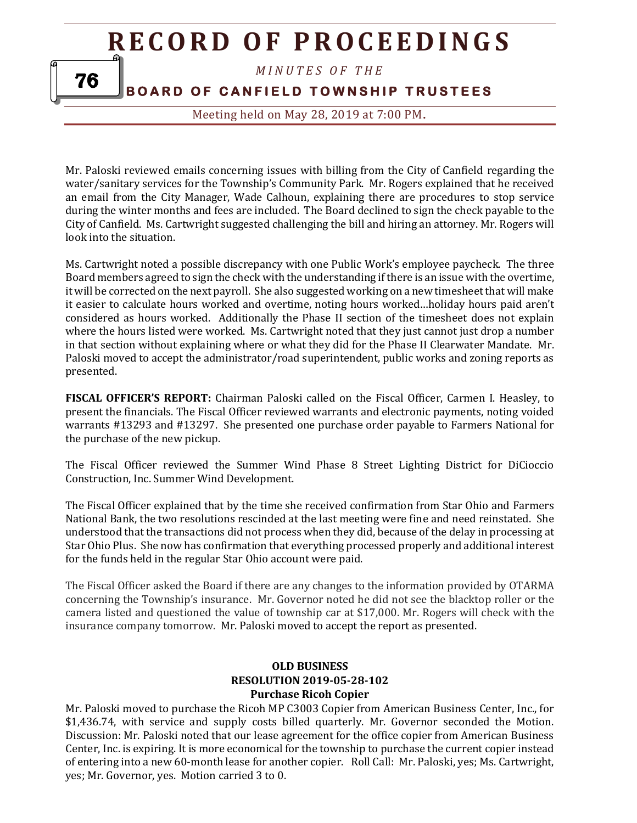*M I N U T E S O F T H E* 

**BOARD OF CANFIELD TOWNSHIP TRUSTEES** 

Meeting held on May 28, 2019 at 7:00 PM**.**

Mr. Paloski reviewed emails concerning issues with billing from the City of Canfield regarding the water/sanitary services for the Township's Community Park. Mr. Rogers explained that he received an email from the City Manager, Wade Calhoun, explaining there are procedures to stop service during the winter months and fees are included. The Board declined to sign the check payable to the City of Canfield. Ms. Cartwright suggested challenging the bill and hiring an attorney. Mr. Rogers will look into the situation.

Ms. Cartwright noted a possible discrepancy with one Public Work's employee paycheck. The three Board members agreed to sign the check with the understanding if there is an issue with the overtime, it will be corrected on the next payroll. She also suggested working on a new timesheet that will make it easier to calculate hours worked and overtime, noting hours worked…holiday hours paid aren't considered as hours worked. Additionally the Phase II section of the timesheet does not explain where the hours listed were worked. Ms. Cartwright noted that they just cannot just drop a number in that section without explaining where or what they did for the Phase II Clearwater Mandate. Mr. Paloski moved to accept the administrator/road superintendent, public works and zoning reports as presented.

**FISCAL OFFICER'S REPORT:** Chairman Paloski called on the Fiscal Officer, Carmen I. Heasley, to present the financials. The Fiscal Officer reviewed warrants and electronic payments, noting voided warrants #13293 and #13297. She presented one purchase order payable to Farmers National for the purchase of the new pickup.

The Fiscal Officer reviewed the Summer Wind Phase 8 Street Lighting District for DiCioccio Construction, Inc. Summer Wind Development.

The Fiscal Officer explained that by the time she received confirmation from Star Ohio and Farmers National Bank, the two resolutions rescinded at the last meeting were fine and need reinstated. She understood that the transactions did not process when they did, because of the delay in processing at Star Ohio Plus. She now has confirmation that everything processed properly and additional interest for the funds held in the regular Star Ohio account were paid.

The Fiscal Officer asked the Board if there are any changes to the information provided by OTARMA concerning the Township's insurance. Mr. Governor noted he did not see the blacktop roller or the camera listed and questioned the value of township car at \$17,000. Mr. Rogers will check with the insurance company tomorrow. Mr. Paloski moved to accept the report as presented.

### **OLD BUSINESS RESOLUTION 2019-05-28-102 Purchase Ricoh Copier**

Mr. Paloski moved to purchase the Ricoh MP C3003 Copier from American Business Center, Inc., for \$1,436.74, with service and supply costs billed quarterly. Mr. Governor seconded the Motion. Discussion: Mr. Paloski noted that our lease agreement for the office copier from American Business Center, Inc. is expiring. It is more economical for the township to purchase the current copier instead of entering into a new 60-month lease for another copier. Roll Call: Mr. Paloski, yes; Ms. Cartwright, yes; Mr. Governor, yes. Motion carried 3 to 0.

76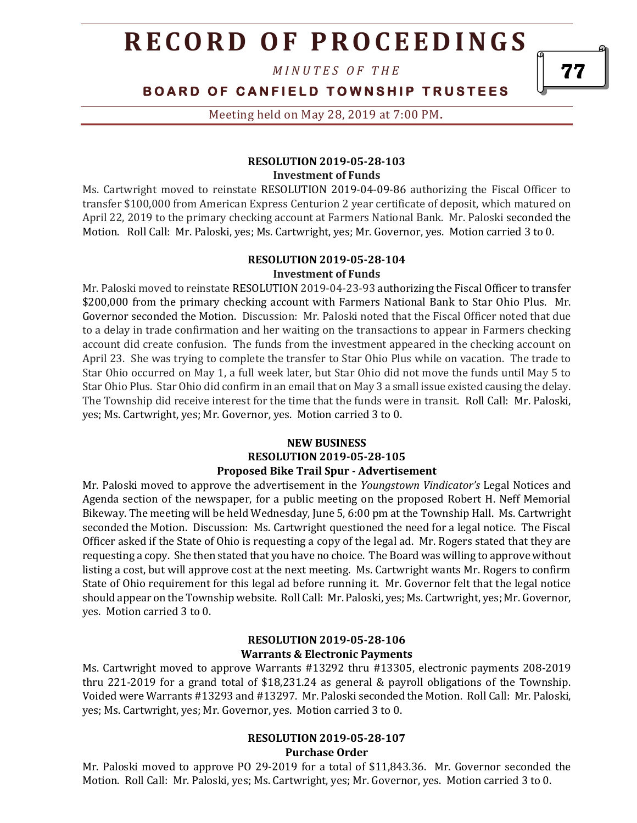*M I N U T E S O F T H E* 

# **BOARD OF CANFIELD TOWNSHIP TRUSTEES**

Meeting held on May 28, 2019 at 7:00 PM**.**

#### **RESOLUTION 2019-05-28-103 Investment of Funds**

Ms. Cartwright moved to reinstate RESOLUTION 2019-04-09-86 authorizing the Fiscal Officer to transfer \$100,000 from American Express Centurion 2 year certificate of deposit, which matured on April 22, 2019 to the primary checking account at Farmers National Bank. Mr. Paloski seconded the Motion. Roll Call: Mr. Paloski, yes; Ms. Cartwright, yes; Mr. Governor, yes. Motion carried 3 to 0.

#### **RESOLUTION 2019-05-28-104**

#### **Investment of Funds**

Mr. Paloski moved to reinstate RESOLUTION 2019-04-23-93 authorizing the Fiscal Officer to transfer \$200,000 from the primary checking account with Farmers National Bank to Star Ohio Plus. Mr. Governor seconded the Motion. Discussion: Mr. Paloski noted that the Fiscal Officer noted that due to a delay in trade confirmation and her waiting on the transactions to appear in Farmers checking account did create confusion. The funds from the investment appeared in the checking account on April 23. She was trying to complete the transfer to Star Ohio Plus while on vacation. The trade to Star Ohio occurred on May 1, a full week later, but Star Ohio did not move the funds until May 5 to Star Ohio Plus. Star Ohio did confirm in an email that on May 3 a small issue existed causing the delay. The Township did receive interest for the time that the funds were in transit. Roll Call: Mr. Paloski, yes; Ms. Cartwright, yes; Mr. Governor, yes. Motion carried 3 to 0.

#### **NEW BUSINESS RESOLUTION 2019-05-28-105 Proposed Bike Trail Spur - Advertisement**

Mr. Paloski moved to approve the advertisement in the *Youngstown Vindicator's* Legal Notices and Agenda section of the newspaper, for a public meeting on the proposed Robert H. Neff Memorial Bikeway. The meeting will be held Wednesday, June 5, 6:00 pm at the Township Hall. Ms. Cartwright seconded the Motion. Discussion: Ms. Cartwright questioned the need for a legal notice. The Fiscal Officer asked if the State of Ohio is requesting a copy of the legal ad. Mr. Rogers stated that they are requesting a copy. She then stated that you have no choice. The Board was willing to approve without listing a cost, but will approve cost at the next meeting. Ms. Cartwright wants Mr. Rogers to confirm State of Ohio requirement for this legal ad before running it. Mr. Governor felt that the legal notice should appear on the Township website. Roll Call: Mr. Paloski, yes; Ms. Cartwright, yes; Mr. Governor, yes. Motion carried 3 to 0.

### **RESOLUTION 2019-05-28-106 Warrants & Electronic Payments**

Ms. Cartwright moved to approve Warrants #13292 thru #13305, electronic payments 208-2019 thru 221-2019 for a grand total of \$18,231.24 as general & payroll obligations of the Township. Voided were Warrants #13293 and #13297. Mr. Paloski seconded the Motion. Roll Call: Mr. Paloski, yes; Ms. Cartwright, yes; Mr. Governor, yes. Motion carried 3 to 0.

# **RESOLUTION 2019-05-28-107**

**Purchase Order**

Mr. Paloski moved to approve PO 29-2019 for a total of \$11,843.36. Mr. Governor seconded the Motion. Roll Call: Mr. Paloski, yes; Ms. Cartwright, yes; Mr. Governor, yes. Motion carried 3 to 0.

77